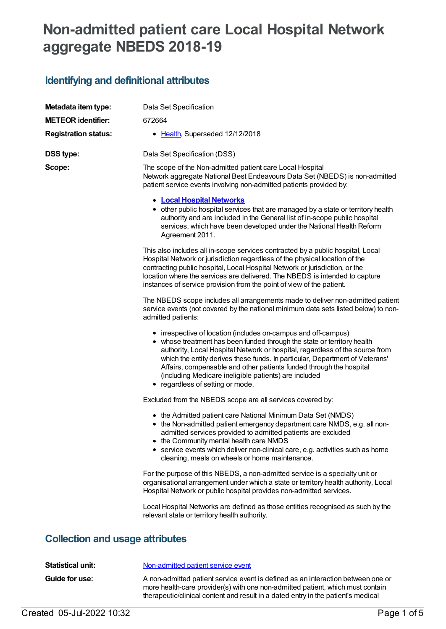# **Non-admitted patient care Local Hospital Network aggregate NBEDS 2018-19**

## **Identifying and definitional attributes**

| Metadata item type:                    | Data Set Specification                                                                                                                                                                                                                                                                                                                                                                                                                                                        |
|----------------------------------------|-------------------------------------------------------------------------------------------------------------------------------------------------------------------------------------------------------------------------------------------------------------------------------------------------------------------------------------------------------------------------------------------------------------------------------------------------------------------------------|
| <b>METEOR identifier:</b>              | 672664                                                                                                                                                                                                                                                                                                                                                                                                                                                                        |
| <b>Registration status:</b>            | • Health, Superseded 12/12/2018                                                                                                                                                                                                                                                                                                                                                                                                                                               |
| <b>DSS type:</b>                       | Data Set Specification (DSS)                                                                                                                                                                                                                                                                                                                                                                                                                                                  |
| Scope:                                 | The scope of the Non-admitted patient care Local Hospital<br>Network aggregate National Best Endeavours Data Set (NBEDS) is non-admitted<br>patient service events involving non-admitted patients provided by:                                                                                                                                                                                                                                                               |
|                                        | <b>• Local Hospital Networks</b><br>• other public hospital services that are managed by a state or territory health<br>authority and are included in the General list of in-scope public hospital<br>services, which have been developed under the National Health Reform<br>Agreement 2011.                                                                                                                                                                                 |
|                                        | This also includes all in-scope services contracted by a public hospital, Local<br>Hospital Network or jurisdiction regardless of the physical location of the<br>contracting public hospital, Local Hospital Network or jurisdiction, or the<br>location where the services are delivered. The NBEDS is intended to capture<br>instances of service provision from the point of view of the patient.                                                                         |
|                                        | The NBEDS scope includes all arrangements made to deliver non-admitted patient<br>service events (not covered by the national minimum data sets listed below) to non-<br>admitted patients:                                                                                                                                                                                                                                                                                   |
|                                        | • irrespective of location (includes on-campus and off-campus)<br>• whose treatment has been funded through the state or territory health<br>authority, Local Hospital Network or hospital, regardless of the source from<br>which the entity derives these funds. In particular, Department of Veterans'<br>Affairs, compensable and other patients funded through the hospital<br>(including Medicare ineligible patients) are included<br>• regardless of setting or mode. |
|                                        | Excluded from the NBEDS scope are all services covered by:                                                                                                                                                                                                                                                                                                                                                                                                                    |
|                                        | • the Admitted patient care National Minimum Data Set (NMDS)<br>• the Non-admitted patient emergency department care NMDS, e.g. all non-<br>admitted services provided to admitted patients are excluded<br>• the Community mental health care NMDS<br>• service events which deliver non-clinical care, e.g. activities such as home<br>cleaning, meals on wheels or home maintenance.                                                                                       |
|                                        | For the purpose of this NBEDS, a non-admitted service is a specialty unit or<br>organisational arrangement under which a state or territory health authority, Local<br>Hospital Network or public hospital provides non-admitted services.                                                                                                                                                                                                                                    |
|                                        | Local Hospital Networks are defined as those entities recognised as such by the<br>relevant state or territory health authority.                                                                                                                                                                                                                                                                                                                                              |
| <b>Collection and usage attributes</b> |                                                                                                                                                                                                                                                                                                                                                                                                                                                                               |
|                                        |                                                                                                                                                                                                                                                                                                                                                                                                                                                                               |

| Statistical unit:     | Non-admitted patient service event                                                                                                                                                                                                                      |
|-----------------------|---------------------------------------------------------------------------------------------------------------------------------------------------------------------------------------------------------------------------------------------------------|
| <b>Guide for use:</b> | A non-admitted patient service event is defined as an interaction between one or<br>more health-care provider(s) with one non-admitted patient, which must contain<br>therapeutic/clinical content and result in a dated entry in the patient's medical |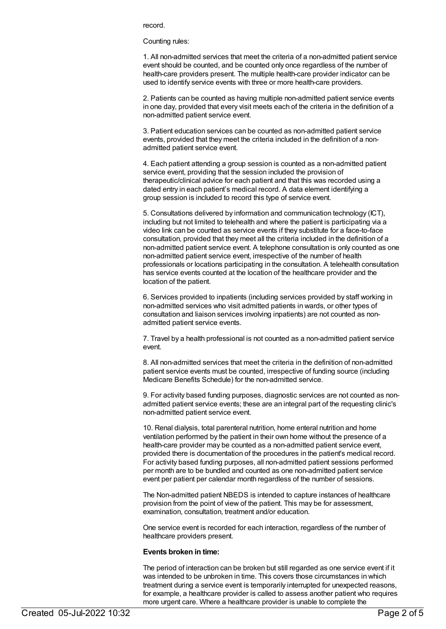record.

Counting rules:

1. All non-admitted services that meet the criteria of a non-admitted patient service event should be counted, and be counted only once regardless of the number of health-care providers present. The multiple health-care provider indicator can be used to identify service events with three or more health-care providers.

2. Patients can be counted as having multiple non-admitted patient service events in one day, provided that every visit meets each of the criteria in the definition of a non-admitted patient service event.

3. Patient education services can be counted as non-admitted patient service events, provided that they meet the criteria included in the definition of a nonadmitted patient service event.

4. Each patient attending a group session is counted as a non-admitted patient service event, providing that the session included the provision of therapeutic/clinical advice for each patient and that this was recorded using a dated entry in each patient's medical record. A data element identifying a group session is included to record this type of service event.

5. Consultations delivered by information and communication technology (ICT), including but not limited to telehealth and where the patient is participating via a video link can be counted as service events if they substitute for a face-to-face consultation, provided that they meet all the criteria included in the definition of a non-admitted patient service event. A telephone consultation is only counted as one non-admitted patient service event, irrespective of the number of health professionals or locations participating in the consultation. A telehealth consultation has service events counted at the location of the healthcare provider and the location of the patient.

6. Services provided to inpatients (including services provided by staff working in non-admitted services who visit admitted patients in wards, or other types of consultation and liaison services involving inpatients) are not counted as nonadmitted patient service events.

7. Travel by a health professional is not counted as a non-admitted patient service event.

8. All non-admitted services that meet the criteria in the definition of non-admitted patient service events must be counted, irrespective of funding source (including Medicare Benefits Schedule) for the non-admitted service.

9. For activity based funding purposes, diagnostic services are not counted as nonadmitted patient service events; these are an integral part of the requesting clinic's non-admitted patient service event.

10. Renal dialysis, total parenteral nutrition, home enteral nutrition and home ventilation performed by the patient in their own home without the presence of a health-care provider may be counted as a non-admitted patient service event, provided there is documentation of the procedures in the patient's medical record. For activity based funding purposes, all non-admitted patient sessions performed per month are to be bundled and counted as one non-admitted patient service event per patient per calendar month regardless of the number of sessions.

The Non-admitted patient NBEDS is intended to capture instances of healthcare provision from the point of view of the patient. This may be for assessment, examination, consultation, treatment and/or education.

One service event is recorded for each interaction, regardless of the number of healthcare providers present.

#### **Events broken in time:**

The period of interaction can be broken but still regarded as one service event if it was intended to be unbroken in time. This covers those circumstances in which treatment during a service event is temporarily interrupted for unexpected reasons, for example, a healthcare provider is called to assess another patient who requires more urgent care. Where a healthcare provider is unable to complete the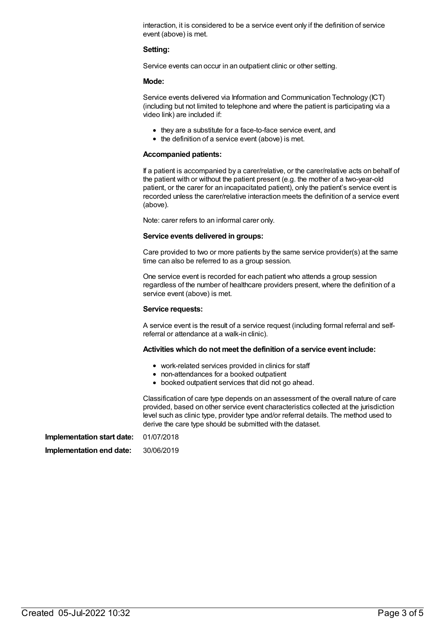interaction, it is considered to be a service event only if the definition of service event (above) is met.

#### **Setting:**

Service events can occur in an outpatient clinic or other setting.

#### **Mode:**

Service events delivered via Information and Communication Technology (ICT) (including but not limited to telephone and where the patient is participating via a video link) are included if:

- they are a substitute for a face-to-face service event, and
- $\bullet$  the definition of a service event (above) is met.

#### **Accompanied patients:**

If a patient is accompanied by a carer/relative, or the carer/relative acts on behalf of the patient with or without the patient present (e.g. the mother of a two-year-old patient, or the carer for an incapacitated patient), only the patient's service event is recorded unless the carer/relative interaction meets the definition of a service event (above).

Note: carer refers to an informal carer only.

#### **Service events delivered in groups:**

Care provided to two or more patients by the same service provider(s) at the same time can also be referred to as a group session.

One service event is recorded for each patient who attends a group session regardless of the number of healthcare providers present, where the definition of a service event (above) is met.

#### **Service requests:**

A service event is the result of a service request (including formal referral and selfreferral or attendance at a walk-in clinic).

#### **Activities which do not meet the definition of a service event include:**

- work-related services provided in clinics for staff
- non-attendances for a booked outpatient
- booked outpatient services that did not go ahead.

Classification of care type depends on an assessment of the overall nature of care provided, based on other service event characteristics collected at the jurisdiction level such as clinic type, provider type and/or referral details. The method used to derive the care type should be submitted with the dataset.

**Implementation start date:** 01/07/2018

**Implementation end date:** 30/06/2019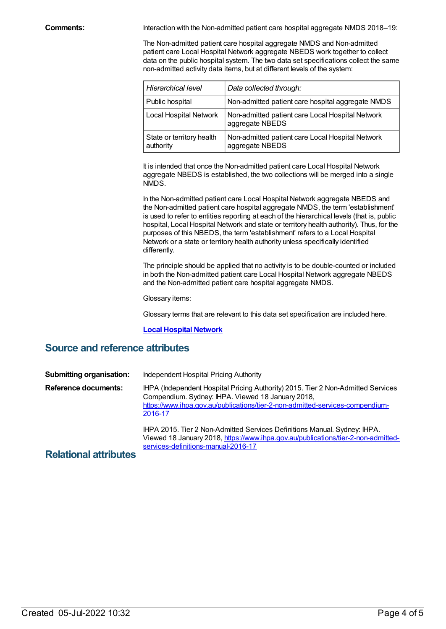**Comments:** Interaction with the Non-admitted patient care hospital aggregate NMDS 2018–19:

The Non-admitted patient care hospital aggregate NMDS and Non-admitted patient care Local Hospital Network aggregate NBEDS work together to collect data on the public hospital system. The two data set specifications collect the same non-admitted activity data items, but at different levels of the system:

| <b>Hierarchical level</b>              | Data collected through:                                             |
|----------------------------------------|---------------------------------------------------------------------|
| Public hospital                        | Non-admitted patient care hospital aggregate NMDS                   |
| Local Hospital Network                 | Non-admitted patient care Local Hospital Network<br>aggregate NBEDS |
| State or territory health<br>authority | Non-admitted patient care Local Hospital Network<br>aggregate NBEDS |

It is intended that once the Non-admitted patient care Local Hospital Network aggregate NBEDS is established, the two collections will be merged into a single NMDS.

In the Non-admitted patient care Local Hospital Network aggregate NBEDS and the Non-admitted patient care hospital aggregate NMDS, the term 'establishment' is used to refer to entities reporting at each of the hierarchical levels (that is, public hospital, Local Hospital Network and state or territory health authority). Thus, for the purposes of this NBEDS, the term 'establishment' refers to a Local Hospital Network or a state or territory health authority unless specifically identified differently.

The principle should be applied that no activity is to be double-counted or included in both the Non-admitted patient care Local Hospital Network aggregate NBEDS and the Non-admitted patient care hospital aggregate NMDS.

Glossary items:

Glossary terms that are relevant to this data set specification are included here.

#### **Local [Hospital](https://meteor.aihw.gov.au/content/491016) Network**

## **Source and reference attributes**

| <b>Submitting organisation:</b> | Independent Hospital Pricing Authority                                                                                                                                                                                            |
|---------------------------------|-----------------------------------------------------------------------------------------------------------------------------------------------------------------------------------------------------------------------------------|
| <b>Reference documents:</b>     | IHPA (Independent Hospital Pricing Authority) 2015. Tier 2 Non-Admitted Services<br>Compendium. Sydney: IHPA. Viewed 18 January 2018,<br>https://www.ihpa.gov.au/publications/tier-2-non-admitted-services-compendium-<br>2016-17 |
| Deletional etteiloriae          | IHPA 2015. Tier 2 Non-Admitted Services Definitions Manual. Sydney: IHPA.<br>Viewed 18 January 2018, https://www.ihpa.gov.au/publications/tier-2-non-admitted-<br>services-definitions-manual-2016-17                             |

### **Relational attributes**